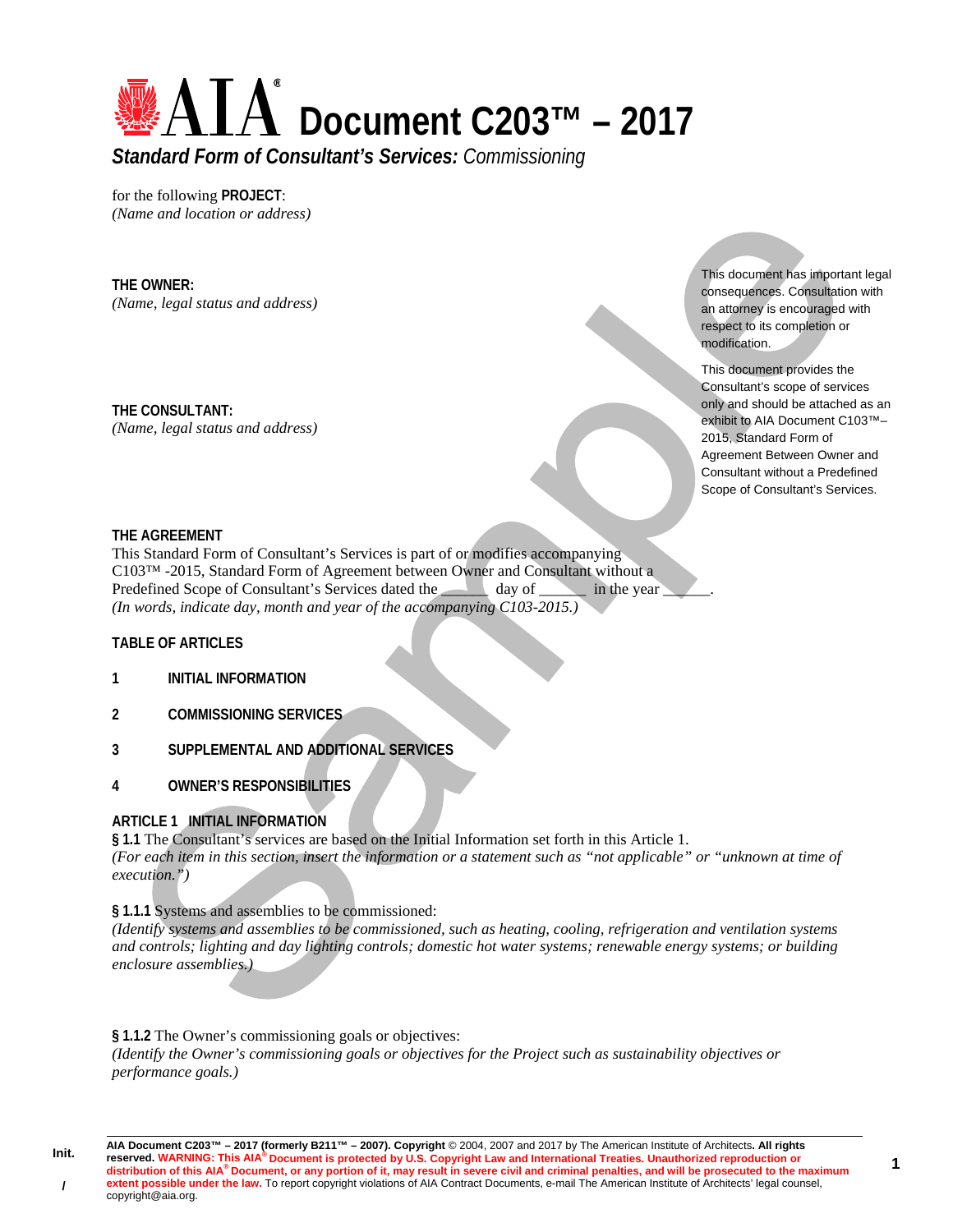

for the following **PROJECT**: *(Name and location or address)* 

#### **THE OWNER:**

*(Name, legal status and address)* 

**THE CONSULTANT:**  *(Name, legal status and address)*  This document has important legal consequences. Consultation with an attorney is encouraged with respect to its completion or modification.

This document provides the Consultant's scope of services only and should be attached as an exhibit to AIA Document C103™– 2015, Standard Form of Agreement Between Owner and Consultant without a Predefined Scope of Consultant's Services.

#### **THE AGREEMENT**

This Standard Form of Consultant's Services is part of or modifies accompanying C103™ -2015, Standard Form of Agreement between Owner and Consultant without a Predefined Scope of Consultant's Services dated the day of \_\_\_\_\_\_\_\_ in the year *(In words, indicate day, month and year of the accompanying C103-2015.)* 

#### **TABLE OF ARTICLES**

**Init.** 

**/**

- **1 INITIAL INFORMATION**
- **2 COMMISSIONING SERVICES**
- **3 SUPPLEMENTAL AND ADDITIONAL SERVICES**
- **4 OWNER'S RESPONSIBILITIES**

### **ARTICLE 1 INITIAL INFORMATION**

**§ 1.1** The Consultant's services are based on the Initial Information set forth in this Article 1. *(For each item in this section, insert the information or a statement such as "not applicable" or "unknown at time of execution.")* 

#### **§ 1.1.1** Systems and assemblies to be commissioned:

*(Identify systems and assemblies to be commissioned, such as heating, cooling, refrigeration and ventilation systems and controls; lighting and day lighting controls; domestic hot water systems; renewable energy systems; or building enclosure assemblies.)* 

**§ 1.1.2** The Owner's commissioning goals or objectives:

*(Identify the Owner's commissioning goals or objectives for the Project such as sustainability objectives or performance goals.)*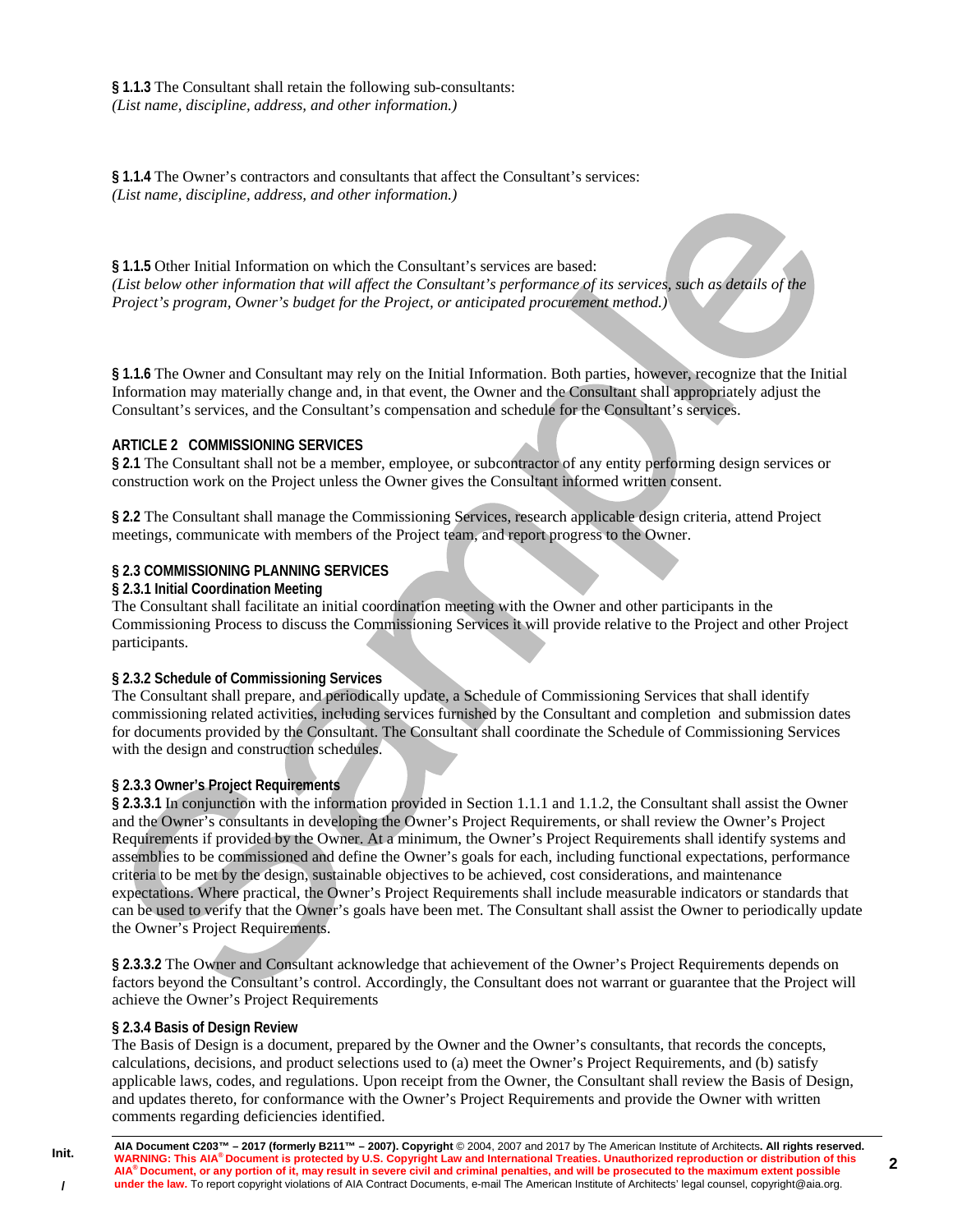**§ 1.1.3** The Consultant shall retain the following sub-consultants: *(List name, discipline, address, and other information.)* 

**§ 1.1.4** The Owner's contractors and consultants that affect the Consultant's services: *(List name, discipline, address, and other information.)* 

**§ 1.1.5** Other Initial Information on which the Consultant's services are based: *(List below other information that will affect the Consultant's performance of its services, such as details of the Project's program, Owner's budget for the Project, or anticipated procurement method.)* 

**§ 1.1.6** The Owner and Consultant may rely on the Initial Information. Both parties, however, recognize that the Initial Information may materially change and, in that event, the Owner and the Consultant shall appropriately adjust the Consultant's services, and the Consultant's compensation and schedule for the Consultant's services.

#### **ARTICLE 2 COMMISSIONING SERVICES**

**§ 2.1** The Consultant shall not be a member, employee, or subcontractor of any entity performing design services or construction work on the Project unless the Owner gives the Consultant informed written consent.

**§ 2.2** The Consultant shall manage the Commissioning Services, research applicable design criteria, attend Project meetings, communicate with members of the Project team, and report progress to the Owner.

#### **§ 2.3 COMMISSIONING PLANNING SERVICES**

#### **§ 2.3.1 Initial Coordination Meeting**

The Consultant shall facilitate an initial coordination meeting with the Owner and other participants in the Commissioning Process to discuss the Commissioning Services it will provide relative to the Project and other Project participants.

#### **§ 2.3.2 Schedule of Commissioning Services**

The Consultant shall prepare, and periodically update, a Schedule of Commissioning Services that shall identify commissioning related activities, including services furnished by the Consultant and completion and submission dates for documents provided by the Consultant. The Consultant shall coordinate the Schedule of Commissioning Services with the design and construction schedules.

#### **§ 2.3.3 Owner's Project Requirements**

**§ 2.3.3.1** In conjunction with the information provided in Section 1.1.1 and 1.1.2, the Consultant shall assist the Owner and the Owner's consultants in developing the Owner's Project Requirements, or shall review the Owner's Project Requirements if provided by the Owner. At a minimum, the Owner's Project Requirements shall identify systems and assemblies to be commissioned and define the Owner's goals for each, including functional expectations, performance criteria to be met by the design, sustainable objectives to be achieved, cost considerations, and maintenance expectations. Where practical, the Owner's Project Requirements shall include measurable indicators or standards that can be used to verify that the Owner's goals have been met. The Consultant shall assist the Owner to periodically update the Owner's Project Requirements.

**§ 2.3.3.2** The Owner and Consultant acknowledge that achievement of the Owner's Project Requirements depends on factors beyond the Consultant's control. Accordingly, the Consultant does not warrant or guarantee that the Project will achieve the Owner's Project Requirements

#### **§ 2.3.4 Basis of Design Review**

**Init.** 

**/** 

The Basis of Design is a document, prepared by the Owner and the Owner's consultants, that records the concepts, calculations, decisions, and product selections used to (a) meet the Owner's Project Requirements, and (b) satisfy applicable laws, codes, and regulations. Upon receipt from the Owner, the Consultant shall review the Basis of Design, and updates thereto, for conformance with the Owner's Project Requirements and provide the Owner with written comments regarding deficiencies identified.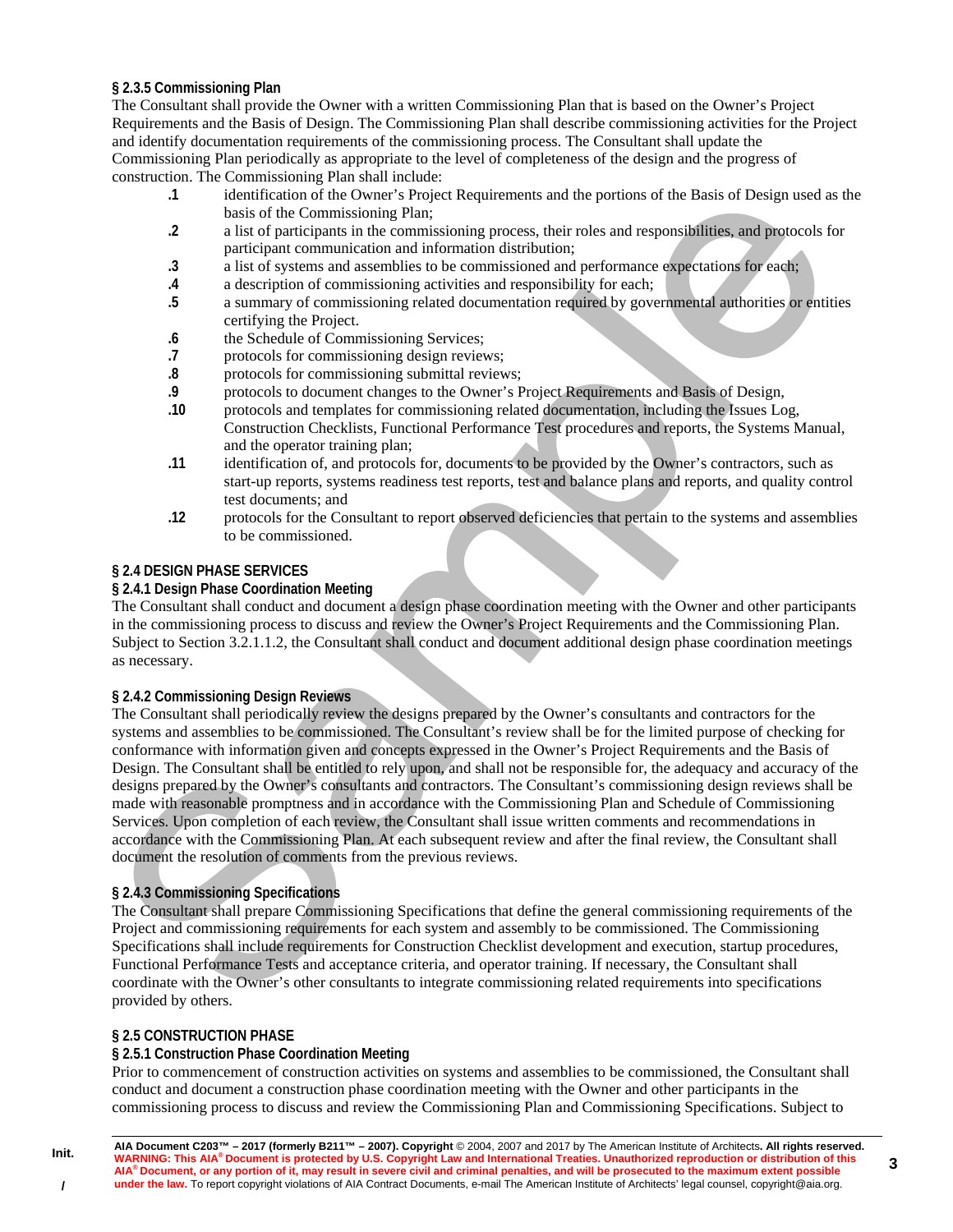## **§ 2.3.5 Commissioning Plan**

The Consultant shall provide the Owner with a written Commissioning Plan that is based on the Owner's Project Requirements and the Basis of Design. The Commissioning Plan shall describe commissioning activities for the Project and identify documentation requirements of the commissioning process. The Consultant shall update the Commissioning Plan periodically as appropriate to the level of completeness of the design and the progress of construction. The Commissioning Plan shall include:

- **.1** identification of the Owner's Project Requirements and the portions of the Basis of Design used as the basis of the Commissioning Plan;
- **.2** a list of participants in the commissioning process, their roles and responsibilities, and protocols for participant communication and information distribution;
- **.3** a list of systems and assemblies to be commissioned and performance expectations for each;
- **.4** a description of commissioning activities and responsibility for each;
- **.5** a summary of commissioning related documentation required by governmental authorities or entities certifying the Project.
- **.6** the Schedule of Commissioning Services;
- **.7** protocols for commissioning design reviews;
- **.8** protocols for commissioning submittal reviews;
- **.9** protocols to document changes to the Owner's Project Requirements and Basis of Design,
- **.10** protocols and templates for commissioning related documentation, including the Issues Log, Construction Checklists, Functional Performance Test procedures and reports, the Systems Manual, and the operator training plan;
- **.11** identification of, and protocols for, documents to be provided by the Owner's contractors, such as start-up reports, systems readiness test reports, test and balance plans and reports, and quality control test documents; and
- **.12** protocols for the Consultant to report observed deficiencies that pertain to the systems and assemblies to be commissioned.

## **§ 2.4 DESIGN PHASE SERVICES**

## **§ 2.4.1 Design Phase Coordination Meeting**

The Consultant shall conduct and document a design phase coordination meeting with the Owner and other participants in the commissioning process to discuss and review the Owner's Project Requirements and the Commissioning Plan. Subject to Section 3.2.1.1.2, the Consultant shall conduct and document additional design phase coordination meetings as necessary.

### **§ 2.4.2 Commissioning Design Reviews**

The Consultant shall periodically review the designs prepared by the Owner's consultants and contractors for the systems and assemblies to be commissioned. The Consultant's review shall be for the limited purpose of checking for conformance with information given and concepts expressed in the Owner's Project Requirements and the Basis of Design. The Consultant shall be entitled to rely upon, and shall not be responsible for, the adequacy and accuracy of the designs prepared by the Owner's consultants and contractors. The Consultant's commissioning design reviews shall be made with reasonable promptness and in accordance with the Commissioning Plan and Schedule of Commissioning Services. Upon completion of each review, the Consultant shall issue written comments and recommendations in accordance with the Commissioning Plan. At each subsequent review and after the final review, the Consultant shall document the resolution of comments from the previous reviews.

# **§ 2.4.3 Commissioning Specifications**

The Consultant shall prepare Commissioning Specifications that define the general commissioning requirements of the Project and commissioning requirements for each system and assembly to be commissioned. The Commissioning Specifications shall include requirements for Construction Checklist development and execution, startup procedures, Functional Performance Tests and acceptance criteria, and operator training. If necessary, the Consultant shall coordinate with the Owner's other consultants to integrate commissioning related requirements into specifications provided by others.

# **§ 2.5 CONSTRUCTION PHASE**

**Init.** 

**/** 

### **§ 2.5.1 Construction Phase Coordination Meeting**

Prior to commencement of construction activities on systems and assemblies to be commissioned, the Consultant shall conduct and document a construction phase coordination meeting with the Owner and other participants in the commissioning process to discuss and review the Commissioning Plan and Commissioning Specifications. Subject to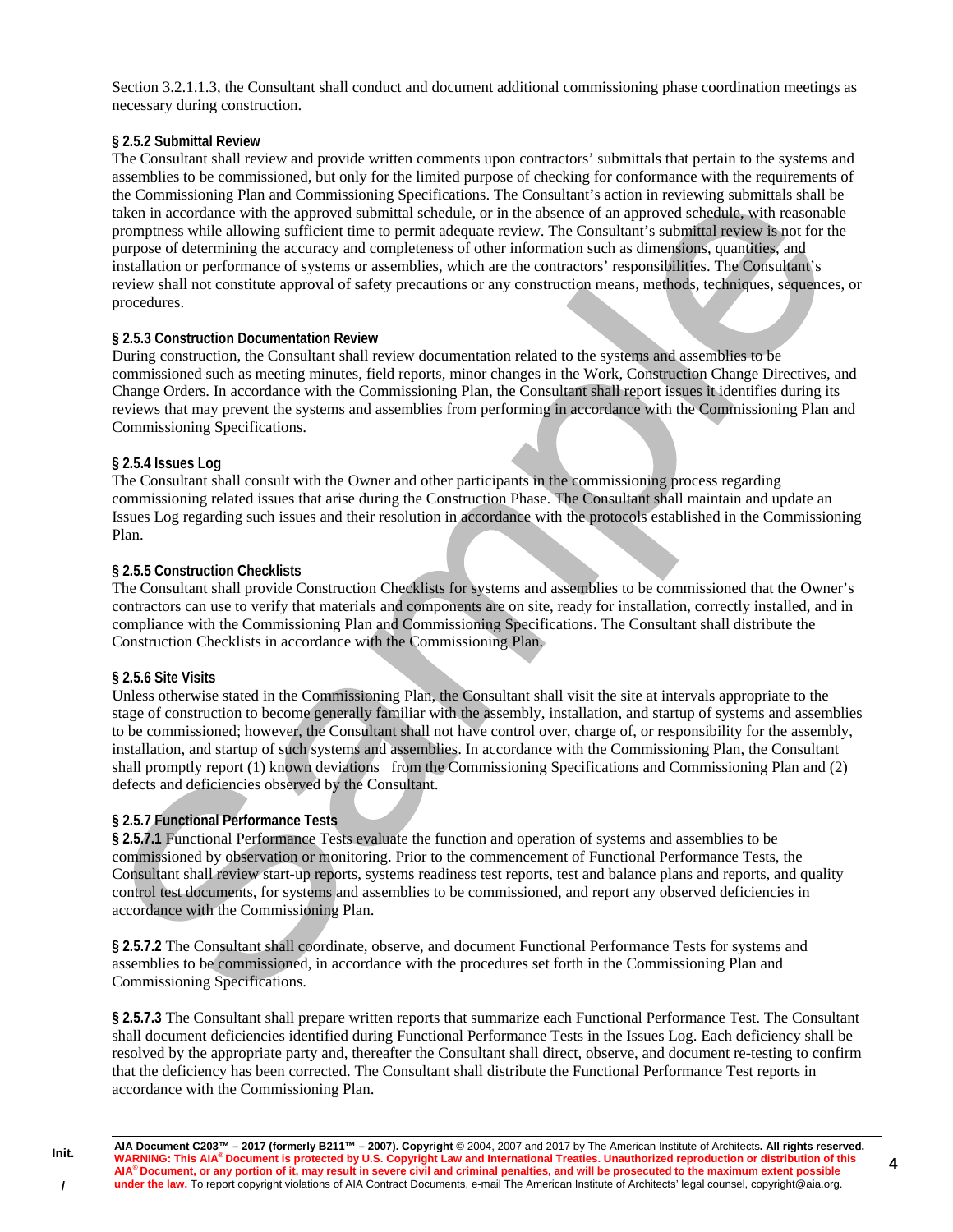Section 3.2.1.1.3, the Consultant shall conduct and document additional commissioning phase coordination meetings as necessary during construction.

## **§ 2.5.2 Submittal Review**

The Consultant shall review and provide written comments upon contractors' submittals that pertain to the systems and assemblies to be commissioned, but only for the limited purpose of checking for conformance with the requirements of the Commissioning Plan and Commissioning Specifications. The Consultant's action in reviewing submittals shall be taken in accordance with the approved submittal schedule, or in the absence of an approved schedule, with reasonable promptness while allowing sufficient time to permit adequate review. The Consultant's submittal review is not for the purpose of determining the accuracy and completeness of other information such as dimensions, quantities, and installation or performance of systems or assemblies, which are the contractors' responsibilities. The Consultant's review shall not constitute approval of safety precautions or any construction means, methods, techniques, sequences, or procedures.

## **§ 2.5.3 Construction Documentation Review**

During construction, the Consultant shall review documentation related to the systems and assemblies to be commissioned such as meeting minutes, field reports, minor changes in the Work, Construction Change Directives, and Change Orders. In accordance with the Commissioning Plan, the Consultant shall report issues it identifies during its reviews that may prevent the systems and assemblies from performing in accordance with the Commissioning Plan and Commissioning Specifications.

## **§ 2.5.4 Issues Log**

The Consultant shall consult with the Owner and other participants in the commissioning process regarding commissioning related issues that arise during the Construction Phase. The Consultant shall maintain and update an Issues Log regarding such issues and their resolution in accordance with the protocols established in the Commissioning Plan.

## **§ 2.5.5 Construction Checklists**

The Consultant shall provide Construction Checklists for systems and assemblies to be commissioned that the Owner's contractors can use to verify that materials and components are on site, ready for installation, correctly installed, and in compliance with the Commissioning Plan and Commissioning Specifications. The Consultant shall distribute the Construction Checklists in accordance with the Commissioning Plan.

### **§ 2.5.6 Site Visits**

Unless otherwise stated in the Commissioning Plan, the Consultant shall visit the site at intervals appropriate to the stage of construction to become generally familiar with the assembly, installation, and startup of systems and assemblies to be commissioned; however, the Consultant shall not have control over, charge of, or responsibility for the assembly, installation, and startup of such systems and assemblies. In accordance with the Commissioning Plan, the Consultant shall promptly report (1) known deviations from the Commissioning Specifications and Commissioning Plan and (2) defects and deficiencies observed by the Consultant.

# **§ 2.5.7 Functional Performance Tests**

**§ 2.5.7.1** Functional Performance Tests evaluate the function and operation of systems and assemblies to be commissioned by observation or monitoring. Prior to the commencement of Functional Performance Tests, the Consultant shall review start-up reports, systems readiness test reports, test and balance plans and reports, and quality control test documents, for systems and assemblies to be commissioned, and report any observed deficiencies in accordance with the Commissioning Plan.

**§ 2.5.7.2** The Consultant shall coordinate, observe, and document Functional Performance Tests for systems and assemblies to be commissioned, in accordance with the procedures set forth in the Commissioning Plan and Commissioning Specifications.

**§ 2.5.7.3** The Consultant shall prepare written reports that summarize each Functional Performance Test. The Consultant shall document deficiencies identified during Functional Performance Tests in the Issues Log. Each deficiency shall be resolved by the appropriate party and, thereafter the Consultant shall direct, observe, and document re-testing to confirm that the deficiency has been corrected. The Consultant shall distribute the Functional Performance Test reports in accordance with the Commissioning Plan.

**Init. /**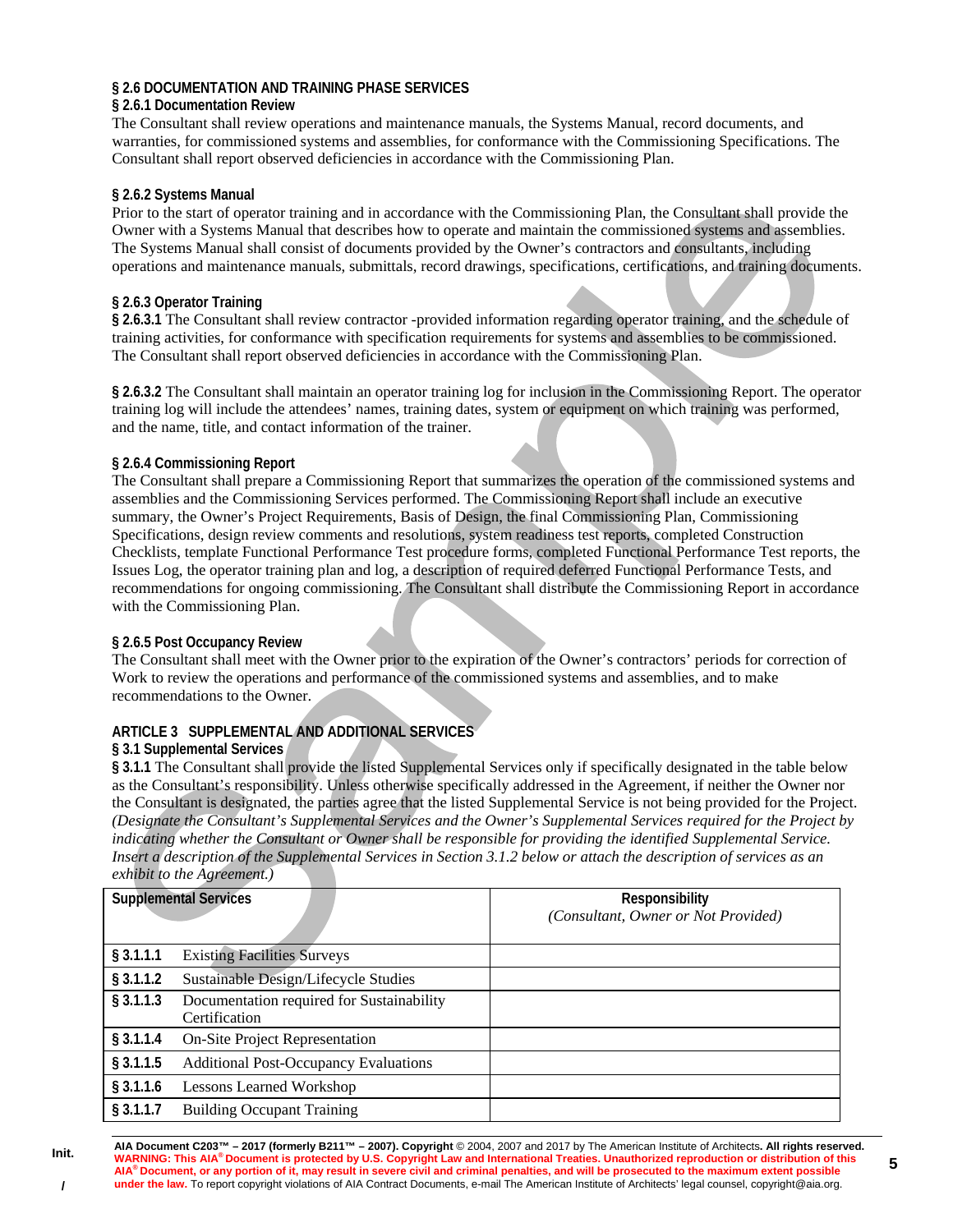## **§ 2.6 DOCUMENTATION AND TRAINING PHASE SERVICES**

### **§ 2.6.1 Documentation Review**

The Consultant shall review operations and maintenance manuals, the Systems Manual, record documents, and warranties, for commissioned systems and assemblies, for conformance with the Commissioning Specifications. The Consultant shall report observed deficiencies in accordance with the Commissioning Plan.

### **§ 2.6.2 Systems Manual**

Prior to the start of operator training and in accordance with the Commissioning Plan, the Consultant shall provide the Owner with a Systems Manual that describes how to operate and maintain the commissioned systems and assemblies. The Systems Manual shall consist of documents provided by the Owner's contractors and consultants, including operations and maintenance manuals, submittals, record drawings, specifications, certifications, and training documents.

## **§ 2.6.3 Operator Training**

**§ 2.6.3.1** The Consultant shall review contractor -provided information regarding operator training, and the schedule of training activities, for conformance with specification requirements for systems and assemblies to be commissioned. The Consultant shall report observed deficiencies in accordance with the Commissioning Plan.

**§ 2.6.3.2** The Consultant shall maintain an operator training log for inclusion in the Commissioning Report. The operator training log will include the attendees' names, training dates, system or equipment on which training was performed, and the name, title, and contact information of the trainer.

## **§ 2.6.4 Commissioning Report**

The Consultant shall prepare a Commissioning Report that summarizes the operation of the commissioned systems and assemblies and the Commissioning Services performed. The Commissioning Report shall include an executive summary, the Owner's Project Requirements, Basis of Design, the final Commissioning Plan, Commissioning Specifications, design review comments and resolutions, system readiness test reports, completed Construction Checklists, template Functional Performance Test procedure forms, completed Functional Performance Test reports, the Issues Log, the operator training plan and log, a description of required deferred Functional Performance Tests, and recommendations for ongoing commissioning. The Consultant shall distribute the Commissioning Report in accordance with the Commissioning Plan.

### **§ 2.6.5 Post Occupancy Review**

The Consultant shall meet with the Owner prior to the expiration of the Owner's contractors' periods for correction of Work to review the operations and performance of the commissioned systems and assemblies, and to make recommendations to the Owner.

# **ARTICLE 3 SUPPLEMENTAL AND ADDITIONAL SERVICES**

### **§ 3.1 Supplemental Services**

**§ 3.1.1** The Consultant shall provide the listed Supplemental Services only if specifically designated in the table below as the Consultant's responsibility. Unless otherwise specifically addressed in the Agreement, if neither the Owner nor the Consultant is designated, the parties agree that the listed Supplemental Service is not being provided for the Project. *(Designate the Consultant's Supplemental Services and the Owner's Supplemental Services required for the Project by indicating whether the Consultant or Owner shall be responsible for providing the identified Supplemental Service. Insert a description of the Supplemental Services in Section 3.1.2 below or attach the description of services as an exhibit to the Agreement.)*

| <b>Supplemental Services</b> |                                                            | <b>Responsibility</b><br><i>(Consultant, Owner or Not Provided)</i> |
|------------------------------|------------------------------------------------------------|---------------------------------------------------------------------|
| $§$ 3.1.1.1                  | <b>Existing Facilities Surveys</b>                         |                                                                     |
| § 3.1.1.2                    | Sustainable Design/Lifecycle Studies                       |                                                                     |
| $§$ 3.1.1.3                  | Documentation required for Sustainability<br>Certification |                                                                     |
| $§$ 3.1.1.4                  | <b>On-Site Project Representation</b>                      |                                                                     |
| $§$ 3.1.1.5                  | <b>Additional Post-Occupancy Evaluations</b>               |                                                                     |
| $§$ 3.1.1.6                  | <b>Lessons Learned Workshop</b>                            |                                                                     |
| $§$ 3.1.1.7                  | <b>Building Occupant Training</b>                          |                                                                     |

**AIA Document C203™ – 2017 (formerly B211™ – 2007). Copyright** © 2004, 2007 and 2017 by The American Institute of Architects**. All rights reserved. WARNING: This AIA® Document is protected by U.S. Copyright Law and International Treaties. Unauthorized reproduction or distribution of this AIA® Document, or any portion of it, may result in severe civil and criminal penalties, and will be prosecuted to the maximum extent possible**  under the law. To report copyright violations of AIA Contract Documents, e-mail The American Institute of Architects' legal counsel, copyright@aia.org.